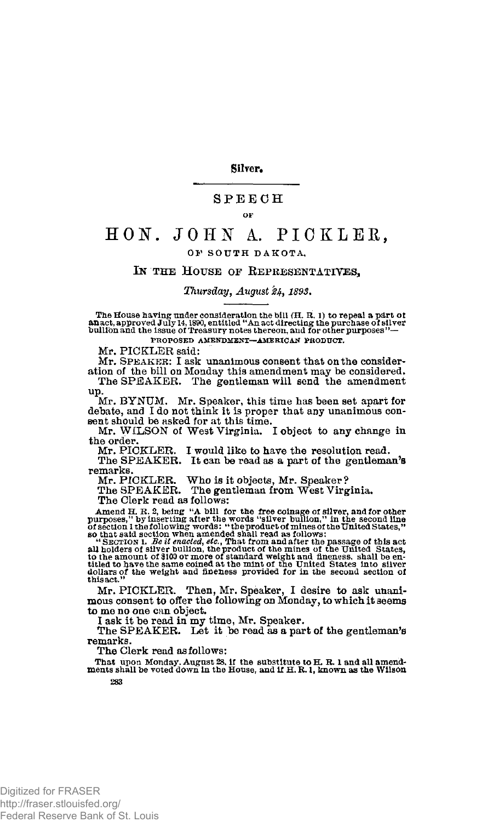Silver.

# SPEEC H

### **OF**

# **HON. J 0 H A. PICKLER ,**

# **O F SOUT H DAKOTA ,**

# IN THE HOUSE OF REPRESENTATIVES,

# *Thursday, August £4, 1893.*

The House having under consideration the bill (H. R. 1) to repeal a part of<br>**an**act, approved July 14, 1890, entitled "An act directing the purchase of silver<br>bullion and the issue of Treasury notes thereon, and for other

**PROPOSED AMENDMENT—AMERICAN PRODUCT.** 

Mr. PICKLER said:

Mr. SPEAKER: I ask unanimous consent that on the consideration of the bill on Monday this amendment may be considered.<br>The SPEAKER. The gentleman will send the amendment

up.

Mr. BYNIJM. Mr. Speaker, this time has been set apart for debate, and I do not think it is proper that any unanimous con-sent should be asked for at this time.

Mr. WILSON of West Virginia. I object to any change in the order.

Mr. PICKLER. I would like to have the resolution read. The SPEAKER. It can be read as a part of the gentleman's remarks

Mr. PICKLER. Who is it objects, Mr. Speaker? The SPEAKER. The gentleman from West Virginia.

The Clerk read as follows:

**Amend H. R.** *2,* **being "A bill for the free coinage of silver, and for other purposes," by inserting after the words "silver bullion," in the second line** 

of section I the following words: "the product of mines of the United States,"<br>so that said section when amended shall read as follows:<br>"Secritors I. Be if enacted, etc., That from and after the passage of this act<br>all hol

Mr. PICKLER. Then, Mr. Speaker, I desire to ask unanimous consent to offer the following on Monday, to which it seems to me no one can object.

I ask it be read in my time, Mr. Speaker.

The SPEAKER. Let it be read as a part of the gentleman's remarks.

The Clerk read as follows:

**That upon Monday, August 28, if the substitute to H. R. 1 and all amend-ments shall be voted down in the House, and if H. R. 1, known as the Wilson 283**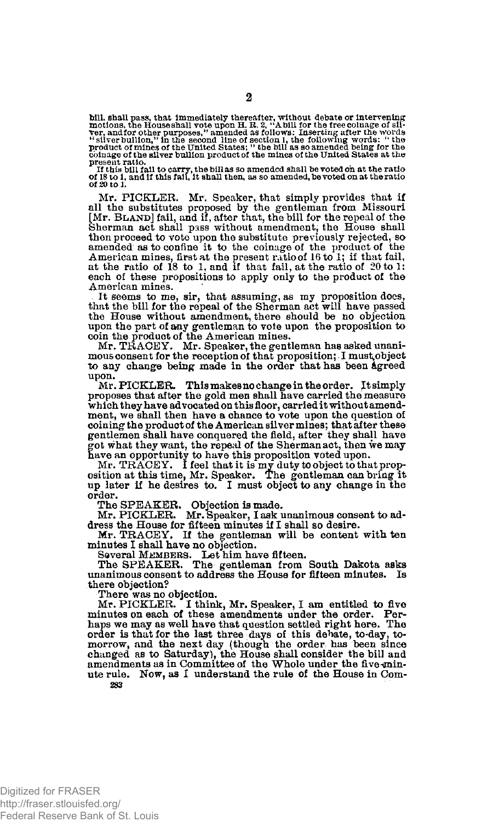bill, shall pass, that immediately thereafter, without debate or intervening<br>motions, the Houseshall vote upon H. R. 2, "A bill for the free coluage of sil-<br>ver, and for other purposes," amended as follows: Inserting after **coinage of the silver bullion product of the mines of the United States at the** 

present ratio.<br>- If this bill fail to carry, the billas so amended shall be voted on at the ratio<br>of 18 to 1, and if this fail, it shall then, as so amended, be voted on at the ratio<br>of 20 to 1.

Mr. PICKLER. Mr. Speaker, that simply provides that if all the substitutes proposed by the gentleman from Missouri [Mr. BLAND] fail, and if, after that, the bill for the repeal of the Sherman act shall pass without amendment, the House shall then proceed to vote upon the substitute previously rejected, so amended as to confine it to the coinage of the product of the American mines, first at the present ratio of 16 to 1; if that fail, at the ratio of  $18$  to 1; and if that fail, at the ratio of  $20$  to 1: each of these propositions to apply only to the product of the American mines.

. It seems to me, sir, that assuming, as my proposition does, that the bill for the repeal of the Sherman act will have passed the House without amendment, there should be no objection upon the part of any gentleman to vote upon the proposition to coin the product of the American mines.

Mr. TRACEY. Mr. Speaker, the gentleman has asked unanimous consent for the reception of that proposition; I must^object to any change being made in the order that has been Agreed upon.

Mr. PICKLER. This makes no change in the order. It simply proposes that after the gold men shall have carried the measure which they have advocated on this floor, carried it without amendment, we shall then have a chance to vote upon the question of coining the product of the American silver mines; that after these gentlemen shall have conquered the field, after they shall have got what they want, the repeal of the Sherman act, then we may

have an opportunity to have this proposition voted upon.<br>Mr. TRACEY. I feel that it is my duty to object to that proposition at this time, Mr. Speaker. The gentleman can bring it<br>up later if he desires to. I must object to order.

The SPEAKER. Objection is made. Mr. PICKLER. Mr. Speaker, I ask unanimous consent to ad-dress the House for fifteen minutes if I shall so desire. Mr. TRACEY. If the gentleman will be content with ten

minutes I shall have no objection.

Several M£MBERS. Let him have fifteen.<br>The SPEAKER. The gentleman from South Dakota asks unanimous consent to address the House for fifteen minutes. Is there objection?

There was no objection.

Mr. PICKLER. I think, Mr. Speaker, I am entitled to five minutes on each of these amendments under the order. Perhaps we may as well have that question settled right here. The order is that for the last three days of this debate, to day, to-morrow, and the next day (though the order has been since changed as to Saturday), the House shall consider the bill and annendments as in Committee of the W ute rule. Now, as I understand the rule of the House in Com-283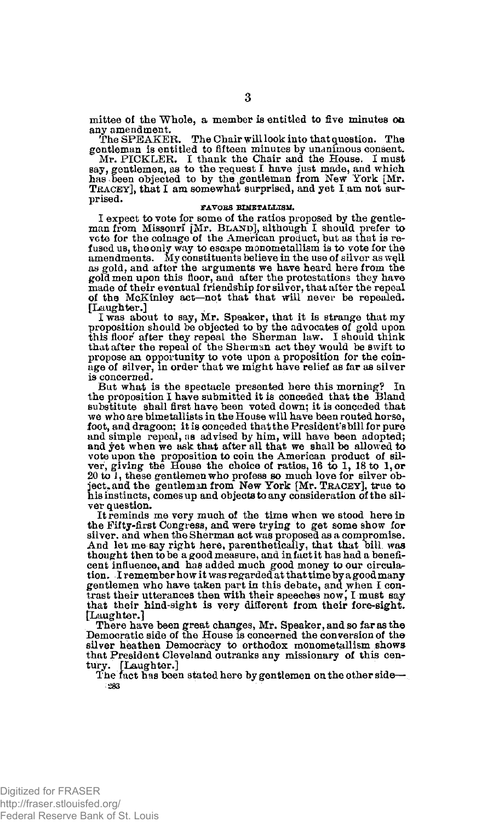mittee of the Whole, a member is entitled to five minutes *on*  any amendment.<br>The SPEAKER.

The Chair will look into that question. The gentleman is entitled to fifteen minutes by unanimous consent.<br>Mr. PICKLER. I thank the Chair and the House. I must<br>say, gentlemen, as to the request I have just made, and which<br>has been objected to by the gentleman from N prised.

### **FAVORS BIMETALLISM.**

I expect to vote for some of the ratios proposed by the gentleman from Missouri [Mr. B**LAND**], although I should prefer to vote for the coinage of the American product, but as that is refused us, the only way to escape monometallism is to vote for the<br>amendments. My constituents believe in the use of silver as well as gold, and after the arguments we have heard here from the gold men upon this floor, and after the protestations they have made of their eventual friendship for silver, that after the repeal of the McKinley act—not that that will never be repealed. [Laughter.]

I was about to say, Mr. Speaker, that it is strange that my proposition should be objected to by the advocates of gold upon this floor after they repeal the Sherman law. I should think that after the repeal of the Sherman act they would be swift to propose an opportunity to vote upon a proposition for the coinage of silver, in order that we might have relief as far as silver is concerned.

But what is the spectacle presented here this morning? In the proposition I have submitted it is conceded that the Bland substitute shall first have been voted down; it is conceded that we who are bimetallists in the House will have been routed horse, foot, and dragoon: it is conceded that the President's bill for pure and simple repeal, as advised by him, will have been adopted; and yet when we ask that after all that we shall be allowed to vote upon the proposition to coin the American product of silver, giving the House the choice of ratios, 16 to 1, 0r ever, giving the gentlemen who profess so much love for silver objects, and it ject, and the gentleman fr his instincts, comes up and objects to any consideration of the silver question.

It reminds me very much of the time when we stood here in the Fifty-first Congress, and were trying to get some show for silver, and when the Sherman act was proposed as a compromise. And let me **Bay** right here, parenthetically, that that bill **was**  thought then to be a good measure, and in fact it has had a beneficent influence, and has added much good money to our circula-tion. I remember how it was regarded at that time by a good many gentlemen who have taken part in this debate, and when I contrast their utterances then with their speeches now,' I must say that their hind-sight is very different from their fore-sight. [Laughter.]

There have been great changes, Mr. Speaker, and so far as the Democratic side of the House is concerned the conversion of the silver heathen Democracy to orthodox monometallism shows that President Cleveland outranks any missionary of this century. [Laughter.]

The fact has been stated here by gentlemen on the other side— **283**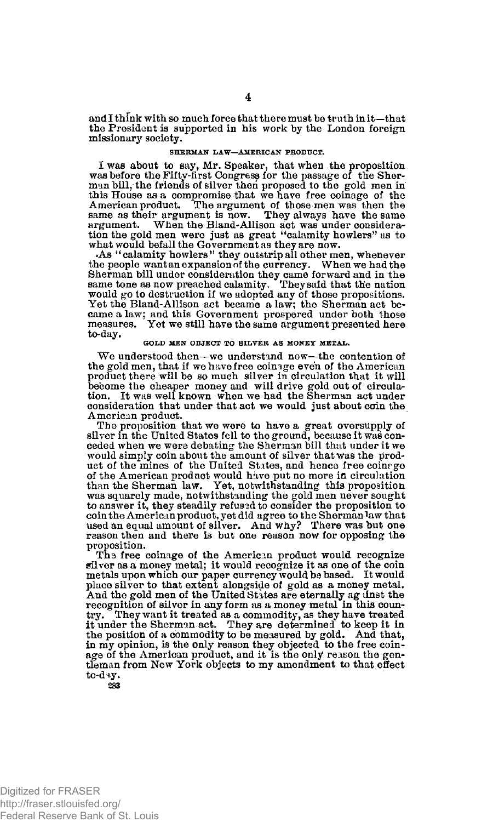and I think with so much force that there must be truth in it—that the President is supported in his work by the London foreign missionary society.

#### **SHERMAN LAW—AMERICAN PRODUCT.**

I was about to say, Mr. Speaker, that when the proposition was before the Fifty-first Congress for the passage of the Sherman bill, the friends of silver then proposed to the gold men in this House as a compromise that we have free coinage of the American product. The argument of those men was then the<br>American product. The argument of those argument. When the Bland-Allison act was under considera-tion the gold men were just as great "calamity howlers" as to

what would befall the Government as they are now. .As "calamity howlers" they outstrip all other men, whenever the people want an expansion of the currency. When we had the Sherman bill undor consideration they came forward and in the<br>same tone as now preached calamity. They said that the nation<br>would go to destruction if we adopted any of those propositions.<br>Yet the Bland-Allison act became came a law; and this Government prospered under both those measures. Yet we still have the same argument presented here to-day.

### **GOLD MEN OBJECT TO SILVER AS MONEY METAL.**

We understood then—we understand now—the contention of the gold men, that if we have free coinage even of the American product there will be so much silver in circulation that it will become the cheaper money and will drive gold out of circula-tion. It was well known when we had the Sherman act under consideration that under that act we would just about coin the American product.

The proposition that we were to have a great oversupply of silver in the United States fell to the ground, because it was conceded when we were debating the Sherman bill that under it we would simply coin about the amount of silver that was the product of the mines of the United States, and hence free coinage of the American product would have put no more in circulation than the Sherman law. Yet, notwithstanding this proposition was squarely made, notwithstanding the gold men never sought to answer it, they steadily refusadto consider the proposition to coin the American product, yet did agree to the Sherman law that used an equal amount of silver. And why? There was but one reason then and there is but one reason now for opposing the proposition.

Ths free coinage of the American product would recognize Silver as a money metal; it would recognize it as one of the coin metals upon which our paper currency would be based. It would place silver to that extent alongside of gold as a money metal. And the gold men of the United States are eternally ag unst the recognition of silver in any form as a money metal in this country. They want it treated as a commodity, as they have treated it under the Sherman act. They are determined to keep it in the position of a commodity to be measured by gold. And that, in my opinion, is the only reason they objected to the free coinage of the American product, and it is the only reason the gentleman from New York objects to my amendment to that effect to-day.

**283**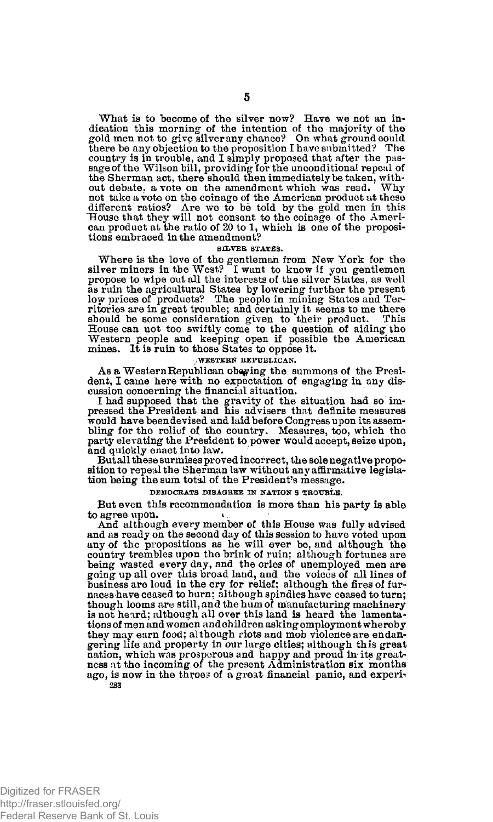What is to become of the silver now? Have we not an in-dication this morning of the intention of the majority of the gold men not to give silver any chance? On what ground could there be any objection to the proposition I have submitted? The country is in trouble, and I simply proposed that after the pas-sage of the Wilson bill, providing for the unconditional repeal of the Sherman act, there should then immediately be taken, with-<br>out debate. a vote on the amendment which was read. Why out debate, a vote on the amendment which was read. not take a vote on the coinage of the American product at these different ratios? Are we to be told by the gold men in this House that they will not consent to the coinage of the American product at the ratio of 20 to 1, w

### **SILVER STATES.**

Where is the love of the gentleman from New York for the silver miners in the West? I want to know if you gentlemen propose to wipe out all the interests of the silver States, as well as ruin the agricultural States by low ritories are in great trouble; and certainly it seems to me there should be some consideration given to their product. This House can not too swiftly come to the question of aiding the Western people and keeping open if possible the American mines. It is ruin to those States *%p* oppose it.

#### **, WESTERN REPUBLICAN.**

As a Western Republican obeying the summons of the President, I came here with no expectation of engaging in any discussion concerning the financial situation.

I had supposed that the gravity of the situation had so im-pressed the President and his advisers that definite measures would have been devised and laid before Congress upon its assembling for the relief of the country. Measures, too, which the party elevating the President to power would accept, seize upon, and quickly enact into law.

But all these surmises proved incorrect, the sole negative proposition to repeal the Sherman law without any affirmative legislation being the sum total of the President's message.

### **DEMOCRATS DISAGREE IN NATION S TROUBLE.**

But even this recommendation is more than his party is able to agree upon.

And although every member of this House was fully advised and as ready on the second day of this session to have voted upon any of the propositions as he will ever be, and although the country trembles upon the brink of ruin; although fortunes are<br>being wasted every day, and the ories of unemployed men are<br>going up all over this broad land, and the voices of all lines of<br>business are loud in the cry for naces have ceased to burn; although spindles have ceased to turn; though looms are still, and the hum of manufacturing machinery is not heard; although all over this land is heard the lamenta-tions of men and women and children asking employment whereby they may earn food; although riots and mob violence are endangering life and property in our large cities; although this great nation, which was prosperous and happy and proud in its great-ness at the incoming of the present Administration six months ago, is now in the throes of a great financial panic, and experi-**283**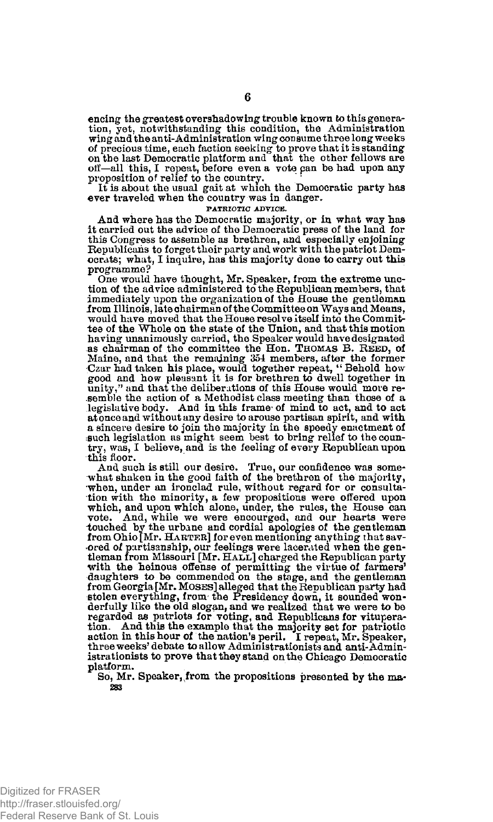encing the greatest overshadowing trouble known to this generation, yet, notwithstanding this condition, the Administration wing and the anti-Administration wing consume three long weeks of precious time, each faction seeking to prove that it is standing on the last Democratic platform and that the other fellows are off—all this, I repeat, before even a vote pan be had upon any proposition of relief to the country.

It is about the usual gait at which the Democratic party has ever traveled when the country was in danger.

### **PATRIOTIC ADVICE.**

And where has the Democratic majority, or in what way has it carried out the advice of the Democratic press of the land for this Congress to assemble as brethren, and especially enjoining Republicans to forget their party and work with the patriot Democrats; what, I inquire, has this majority done to carry out this programme?

One would have thought, Mr. Speaker, from the extreme unction of the advice administered to the Republican members, that immediately upon the organization of the House the gentleman irom Illinois, late chairman of the Committee on Ways and Means, would have moved that the House resolve itself into the Committee of the Whole on the state of the Union, and that this motion having unanimously carried, the Speaker would have designated as chairman of the committee the Hon. THOMAS B. REED, of Maine, and that the remaining 354 members, after the former<br>Czar had taken his place, would together repeat, "Behold how<br>good and how pleasant it is for brethren to dwell together in<br>unity," and that the deliberations of t semble the action of a Methodist class meeting than those of a legislative body. And in this frame- of mind to act, and to act at once and without any desire to arouse partisan spirit, and with a sincere desire to join the majority in the speedy enactment of ssuch legislation as might seem best to bring relief to the country, was, I believe, and is the feeling of every Republican upon this floor.

And such is still our desire. True, our confidence was somewhat shaken in the good faith of the brethren of the majority, when, under an ironclad rule, without regard for or consultation with the minority, a few propositions were offered upon which, and upon which alone, under, the rules, the House can vote. And, while we were encourged, and our hearts were touched by the urbane and cordial apologies of the gentleman from Ohio [Mr. HARTER] for even mentioning anything that save order of purties and cordial when the gentleman from Missouri [Mr. HALL] charged the Republican party with the heinous offense of permitting the virtue of farmers' daughters to be commended on the stage, and the gentleman from Georgia [Mr. MOSES] alleged that the Republican party had stolen everything, from- the Presidency down, it sounded won-derfully like the old slogan, and we realized that we were to be regarded as patriots for voting, and Republicans for vituperation. And this the example that the majority set for patriotic action in this hour of the nation's peril. I repeat, Mr. Speaker, three weeks'debate to allow Administrationists and anti-Administrationists to prove that they stand on the Chicago Democratic platform.

So, Mr. Speaker, from the propositions presented by the ma-**283**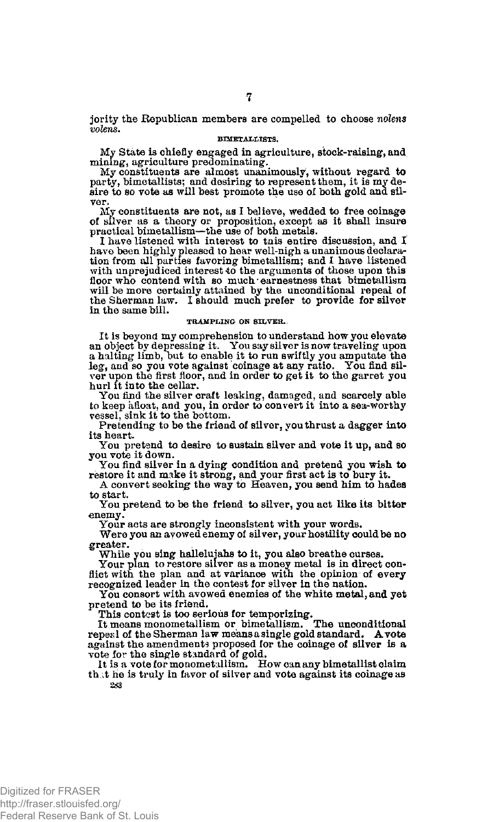jority the Republican members are compelled to choose *nolens volens.* 

### **BIMETAIILISTS.**

My State is chiefly engaged in agriculture, stock-raising, and mining, agriculture predominating.

My constituents are almost unanimously, without regard to party, bimetallists; and desiring to represent them, it is my desire to so vote as will best promote the use of both gold ana silver.

My constituents are not, as I believe, wedded to free coinage of silver as a theory or proposition, except as it shall insure

practical bimetallism—the use of both metals. I have listened with interest to tnis entire discussion, and I have been highly pleased to hear well-nigh a unanimous declara-tion from all parties favoring bimetallism; and I have listened with unprejudiced interest to the arguments of those upon this floor who contend with so much earnestness that bimetallism will be more certainly attained by the unconditional repeal of the Sherman law. I should much prefer to provide for silver in the same bill.

### **TRAMPLING ON SILVER.**

It is beyond my comprehension to understand how you elevate<br>an object by depressing it. You say silver is now traveling upon<br>a halting limb, but to enable it to run swiftly you amputate the<br>leg, and so you vote against coi ver upon the first floor, and in order to get it to the garret you hurl it into the cellar.

You find the silver craft leaking, damaged, and scarcely able to keep afloat, and you, in order to convert it into a sea-worthy vessel, sink it to the bottom.

Pretending to be the friend of silver, you thrust a dagger into its heart.

You pretend to desire to sustain silver and vote it up, and so you vote it down.

You find silver in a dying condition and pretend you wish to restore it and make it strong, and your first act is to bury it.

A convert seeking the way to Heaven, you send him to hades to start.

You pretend to be the friend to silver, you act like its bitter enemy.

Your acts are strongly inconsistent with your words.

Were you an avowed enemy of silver, your hostility could be no greater.

While you sing halleluiahs to it, you also breathe curses.

Your plan to restore silver as a money metal is in direct conflict with the plan and at variance with the opinion of every recognized leader in the contest for silver in the nation.

You consort with avowed enemies of the white metal, and yet pretend to be its friend.

This contest is too serious for temporizing. It means monometallism or bimetallism. The unconditional repeal of the Sherman law means a single gold standard. A vote against the amendments proposed for the coinage of silver is a vote for the single standard of gold.

It is a vote for monometallism. How can any bimetallist claim th.it he is truly in favor of silver and vote against its coinage as **283**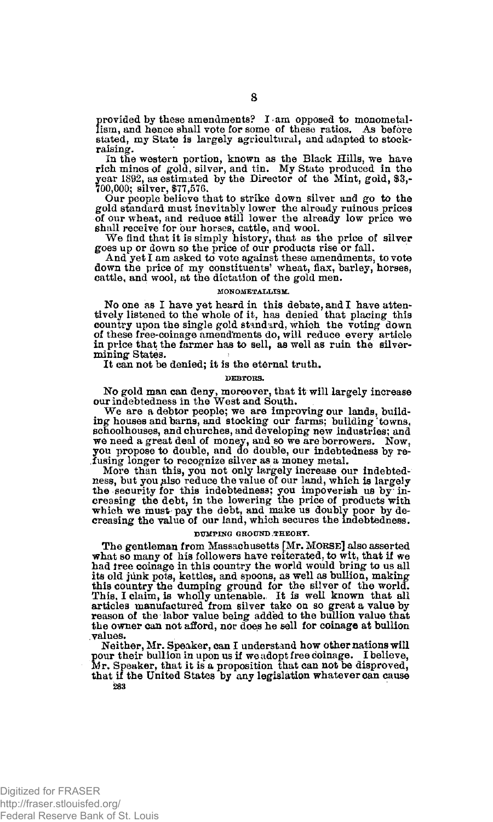provided by these amendments? I am opposed to monometallism, and hence shall vote for some of these ratios. As before stated, my State is largely agricultural, and adapted to stockraising.

In the western portion, known as the Black Hills, we have rich mines of gold, silver, and tin. My State produced in the year 1892, as estimated by the Director of the Mint, gold, \$3,- $70,000$ ; silver, \$77,576.

Our people believe that to strike down silver and go to the gold standard must inevitably lower the already ruinous prices of our wheat, and reduce still lower the already low price we shall receive for our horses, cattle, and wool.

We find that it is simply history, that as the price of silver goes up or down so the price of our products rise or fall.

And yet I am asked to vote against these amendments, to vote down the price of my constituents\* wheat, flax, barley, horses, cattle, and wool, at the dictation of the gold men.

#### **MONOMETALLISM.**

No one as I have yet heard in this debate, and I have attentively listened to the whole of it, has denied that placing this country upon the single gold standard, which the voting down of these free-coinage amendments do, will reduce every article in price that the farmer has to sell, as well as ruin the silvermining States.

It can not be denied; it is the eternal truth.

**DEBTORS.** 

No gold man can deny, moreover, that it will largely increase our indebtedness in the West and South.

We are a debtor people; we are improving our lands, build-ing houses and barns, and stocking our farms; building 'towns, schoolhouses, and churches, and developing new industries; and we need a great deal of money, and so we are borrowers. Now, you propose to double, and do double, our indebtedness by refusing longer to recognize silver as a money metal.<br>Insing longer to recognize silver as a money meta

the security for this indebtedness; you impoverish us by in-<br>creasing the debt, in the lowering the price of products with which we must pay the debt, and make us doubly poor by de-creasing the value of our land, which secures the indebtedness.

#### **DUMPING GROUND,THEORY.**

The gentleman from Massachusetts [Mr. MORSE] also asserted what so many of his followers have reiterated, to wit, that if we had tree coinage in this country the world would bring to us all its old junk pots, kettles, and spoons, as well as bullion, making this country the dumping ground for the silver of the world.<br>This, I claim, is wholly untenable. It is well known that all<br>articles manufactured from silver take on so great a value by<br>reason of the labor value being added the owner can not afford, nor does he sell for coinage at bullion values.

Neither, Mr. Speaker, can I understand how other nations will pour their bullion in upon us if we adopt free coinage. I believe, Mr. Speaker, that it is a proposition that can not be disproved, that if the United States by any legislation whatever can cause **283**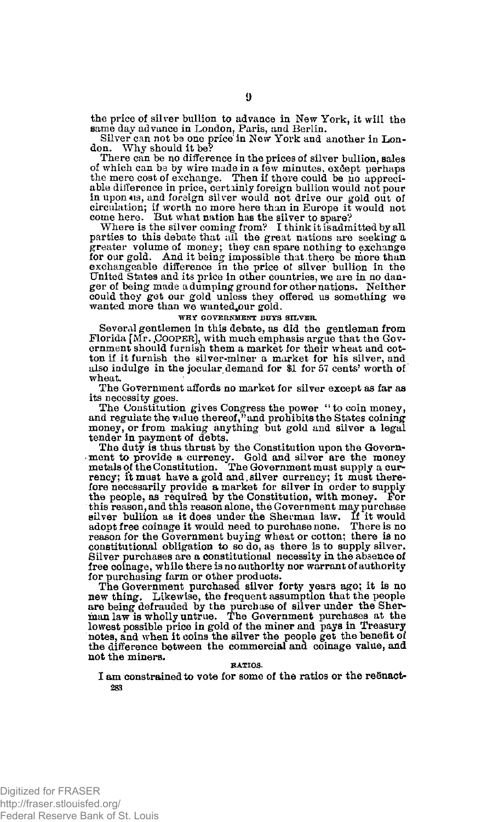the price of silver bullion to advance in New York, it will the same day advance in London, Paris, and Berlin.

Silver can not be one price'in New York and another in Lon-don. Why should it be? don. Why should it be?<br>There can be no difference in the prices of silver bullion, sales

of which can be by wire made in a few minutes, except perhaps the mere cost of exchange. Then if there could be no appreciable difference in price, certainly foreign bullion would not pour in upon+is, and foreign silver would not drive our gold out of circulation; if worth no more here than in Europe it would not come here. But what nation has the silver to spare?

Where is the silver coming from? I think it is admitted by all parties to this debate that all the great nations are seeking a greater volume of money; they can spare nothing to exchange for our gold. And it being impossible that there be more than exchangeable difference in the price of silver bullion in the United States and its price in other countries, we are in no danger of being made a dumping ground for other nations. Neither could they get our gold unless they offered us something we wanted more than we wanted our gold.

### **WHY GOVERNMENT BUYS SILVER.**

Several gentlemen in this debate, as did the gentleman from Florida [Mr. COOPER], with much emphasis argue that the Government should furnish them a market for their wheat and cotton if it furnish the silver-miner a market for his silver, and also indulge in the jocular demand for \$1 for 57 cents' worth of wheat.

The Government affords no market for silver except as far as its necessity goes.

The Constitution gives Congress the power "to coin money, and regulate the value thereof," and prohibits the States coining money, or from making anything but gold and silver a legal tender in payment of debts.

The duty is thus thrust by the Constitution upon the Government to provide a currency. Gold and silver are the money metals of the Constitution. The Government must supply a currency; it must have a gold and, silver currency; it must there-fore necessarily provide a market for silver in order to supply the people, as required by the Constitution, with money. For this reason, and this reason alone, the Government may purchase silver bullion as it does under the Sherman law. If it would adopt free coinage it would need to purchase none. There is no reason for the Government buying wheat or cotton; there is no constitutional obligation to so do, as there is to supply silver. Silver purchases are a constitutional necessity in the absence of free coinage, while there is no authority nor warrant of authority for purchasing farm or other products.

The Government purchased silver forty years ago; it is no new thing. Likewise, the frequent assumption that the people are being defrauded by the purcb ase of silver under the Sher-man law is wholly untrue. The Government purchases at the lowest possible price in gold of the miner and pays in Treasury notes, and when it coins the silver the people get the benefit of the difference between the commercial and coinage value, and not the miners.

#### **RATIOS.**

I am constrained to vote for some of the ratios or the reSnact-**283**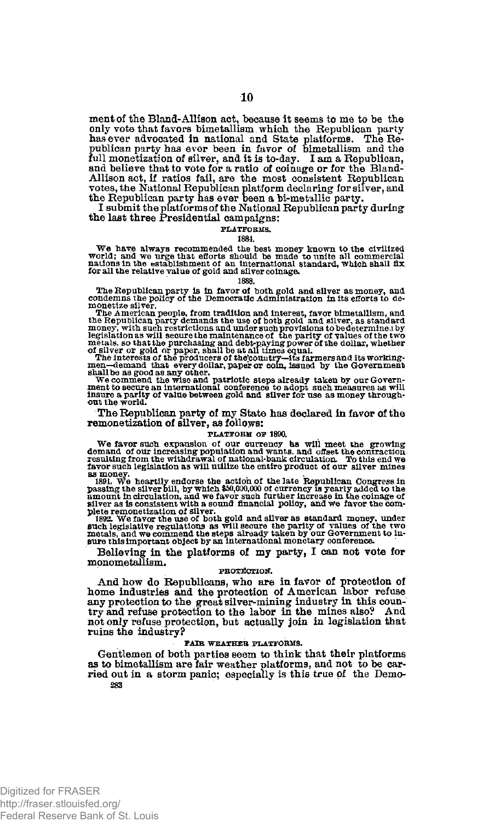ment of the Bland-Allison act, because it seems to me to be the only vote that favors bimetallism which the Republican party has ever advocated in national and State publican member of bimetallism and the publican party has ever been in favor of bimetallism and the full monetization of and believe that to vote for a ratio of coinage or for the Bland-Allison act, if ratios fail, are the most consistent Republican votes, the National Republican platform declaring for silver, and the Republican party has ever been a bi-metallic party.

I submit the platforms of the National Republican party during the last three Presidential campaigns:

#### **PLATFORMS.**

### **1884.**

We have always recommended the best money known to the civilized<br>world; and we urge that efforts should be made to unite all commercial<br>nations in the establishment of an international standard, which shall fix<br>for all the

### **1888.**

**The Republican party is in favor of both sold and silver as money, and condemns the policy of the Democratic Administration in its efforts to de-**

monetize sliver. The American people, from tradition and interest, favor bimetallism, and<br>the Republican party demands the use of both gold and sliver, as standard<br>money, with such restrictions and under such provisions t

shall be as good as any other.<br>We commend the wise and patriotic steps already taken by our Government to secure an international conference to adopt such measures as will<br>insure a partly of value between gold and silver f

The Republican party of my State has declared in favor of the remonetization of silver, as follows:

#### **PLATFORM OF 1890.**

We favor such expansion of our currency as will meet the growing<br>demand of our increasing population and wants, and offset the contraction<br>resulting from the withdrawal of national-bank circulation. To this end we<br>favor su

as money.<br>
as money.<br>
1891. We heartily endorse the action of the late Republican Congress in<br>
1891. We heartily endorse the action of the late Republican Congress in<br>
nearonnt in circulation, and we favor such further in

Believing in the platforms of my party, I can not vote for monometallism.

#### **PROTECTION.**

And how do Republicans, who are in favor of protection of home industries and the protection of American labor refuse any protection to the great silver-mining industry in this coun-try and refuse protection to the labor in the mines also? And not only refuse protection, but actually join in legislation that ruins the industry?

### **FAIR WEATHER PLATFORMS.**

Gentlemen of both parties seem to think that their platforms as to bimetallism are fair weather platforms, and not to be carried out in a storm panic; especially is this true of the Demo-**283**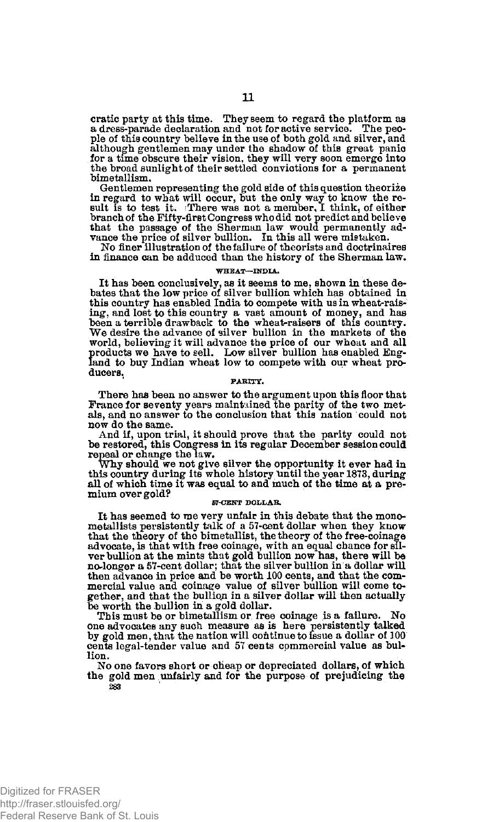cratie party at this time. They seem to regard the platform as a dress-parade declaration and not for active service. The people of this country believe in the use of both gold and silver, and although gentlemen may under the Bhadow of this great panic for a time obscure their vision, they will very soon emerge into the broad sunlight of their settled convictions for a permanent bimetallism.

Gentlemen representing the gold side of this question theorize in regard to what will occur, but the only way to know the re-sult is to test it. i There was not a member, I think, of either branch of the Fifty-first Congress who did not predict and believe that the passage of the Sherman law would permanently ad-vance the price of silver bullion. In this all were mistaken.

No finer illustration of the failure of theorists and doctrinaires in finance can be adduced than the history of the Sherman law.

#### **WHEAT—INDIA.**

It has been conclusively, as it seems to me, shown in these debates that the low price of silver bullion which has obtained in this country has enabled India to compete with us in wheat-raising, and lost to this country a vast amount of money, and has been a terrible drawback to the wheat-raisers of this country. "We desire the advance of silver bullion in the markets of the world, believing it will advance the price of our wheat and all products we have to sell. Low silver bullion has enabled England to buy Indian wheat low to compete with our wheat producers.

### **PARITY.**

There has been no answer to the argument upon this floor that<br>France for seventy years maintained the parity of the two met-<br>als, and no answer to the conclusion that this nation could not now do the same.

And if, upon trial, it should prove that the parity could not be restored, this Congress in its regular December session could repeal or change the law.

Why should we not give silver the opportunity it ever had in this country during its whole history until the year 1873, during all of which time it was equal to and much of the time at a premium over gold?

## **57-CENT DOLLAR.**

It has seemed to me very unfair in this debate that the mono-metallists persistently talk of a 57-cent dollar when they know that the theory of the bimetallist, the theory of the free-coinage advocate, is that with free coinage, with an equal chance for silver bullion at the mints that gold bullion now has, there will be no-longer a 57-cent dollar; that the silver bullion in a dollar will then advance in price and be worth 100 cents, and that the com-mercial value and coinage value of silver bullion will come together, and that the bullion in a silver dollar will then actually

be worth the bullion in a gold dollar. This must be or bimetallism or free coinage is a failure. No one advocates any such measure as is here persistently talked by gold men, that the nation will continue to issue a dollar of 300 cents legal-tender value and 57 cents commercial value as bullion.

No one favors short or cheap or depreciated dollars, of which the gold men unfairly and for the purpose of prejudicing the **283**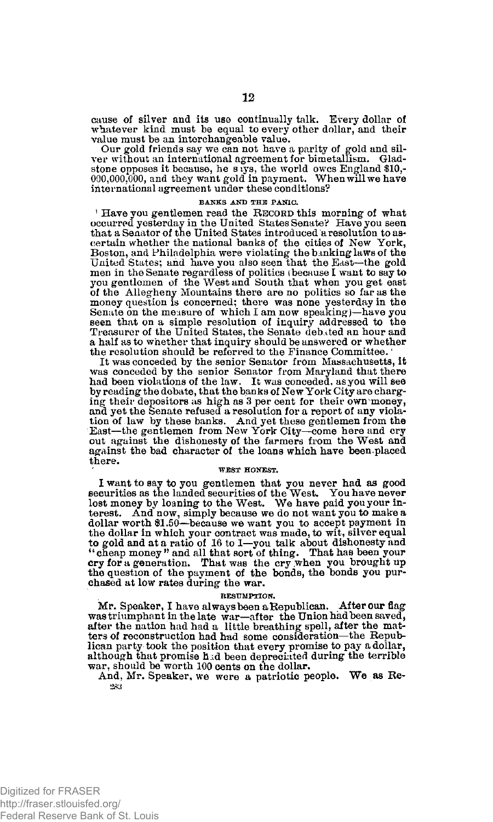cause of silver and its use continually talk. Every dollar of whatever kind must be equal to every other dollar, and their value must be an interchangeable value.

Our gold friends say we can not have a parity of gold and silver without an international agreement for bimetallism. Gladstone opposes it because, he stys, the world owes England \$10,000,000,000,000, and they want gold in international agreement under these conditions?

#### **BANKS AND THE PANIC.**

<sup>1</sup> Have you gentlemen read the RECORD this morning of what occurred yesterday in the United States Senate? Have you seen that a Senator of the United States introduced a resolution to ascertain whether the national banks of the cities of New York, Boston, and Philadelphia were violating the banking laws of the United States; and have you also seen that the East—the gold men in the Senate regardless of politics (because I want to say to you gentlemen of the West and South that when you get east of the Allegheny Mountains there are no politics so far as the money question is concerned; there was none yesterday in the Senate on the measure of which I am now speaking)—have you seen that on a simple resolution of inquiry addressed to the Treasurer of the United States, the Senate debated an hour and a half as to whether that inquiry should be answered or whether the resolution should be referred to the Finance Committee.

It was conceded by the senior Senator from Massachusetts, it was conceded by the senior Senator from Maryland that there had been violations of the law. It was conceded, as you will see by reading the debate, that the banks of New York City are charging their depositors as high as 3 per cent for their own money, and yet the Senate refused a resolution for a report of any viola-tion of law by these banks. And yet these gentlemen from the East—the gentlemen from New York City—come here and cry out against the dishonesty of the farmers from the West and against the bad character of the loans which have been.placed there.

### **WEST HONEST.**

I want to say to you gentlemen that you never had as good securities as the landed securities of the West. You have never lost money by loaning to the West. We have paid you your interest. And now, simply because we do not want you to make a dollar worth \$1.50—because we want you to accept payment in the dollar in which your contract was made, to wit, silver equal to gold and at a ratio of 16 to 1—you talk about dishonesty and<br>"cheap money" and all that sort of thing. That has been your<br>cry for a generation. That was the cry when you brought up<br>the question of the payment of the bon chased at low rates during the war.

#### **RESUMPTION.**

Mr. Speaker, I have always been a Republican. After our flag was triumphant in the late war—after the Union had been saved, after the nation had had a little breathing spell, after the matters of reconstruction had had some consideration—the Republican party took the position that every promise to pay a dollar, although that promise h id been depreciated during the terrible war, should be worth 100 cents on the dollar.

And, Mr. Speaker, we were a patriotic people. We as Re-*283*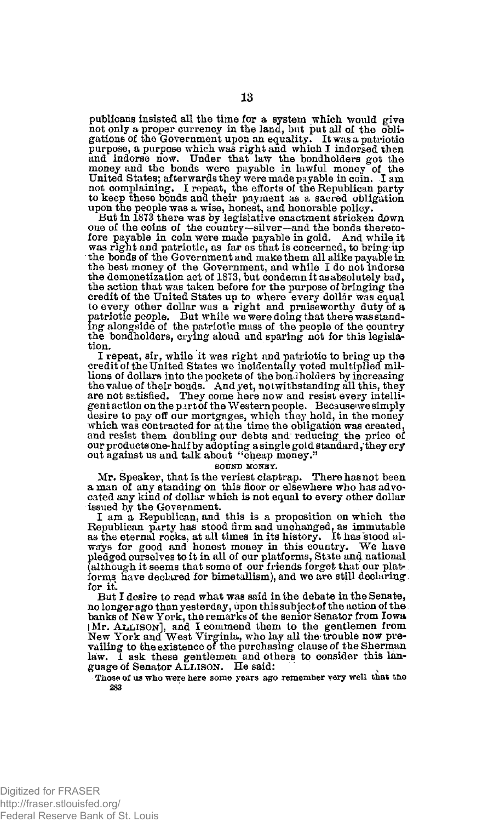publicans insisted all the time for a system which, would give not only a proper currency in the land, but put all of the obli-gations of the Government upon an equality. It was a patriotic purpose, a purpose which was right and which I indorsed then and indorse now. Under that law the bondholders got the money and the bonds were payable in lawful money of the United States; afterwards they were made payable in coin. I am not complaining. I repeat, the efforts of the Republican party to keep these bonds and their payment as a sacred obligation

upon the people was a wise, honest, and honorable policy. But in 1873 there was by legislative enactment stricken down one of the coins of the country—silver—and the bonds thereto-<br>fore payable in coin were made payable in gold. And while it fore payable in coin were made payable in gold. was right and patriotic, as far as that is concerned, to bring-up the bonds of the Government and make them all alike payable in the best money of the Government, and while I do not indorse the demonetization act of 1873, but condemn it as absolutely bad, the action that was taken before for the purpose of bringing the credit of the United States up to where every dollar was equal<br>to every other dollar was a right and praiseworthy duty of a<br>patriotic people. But while we were doing that there was stand-<br>ing alongside of the patriotic mas the bondholders, crying aloud and sparing not for this legislation.

I repeat, sir, while it was right and patriotic to bring up the credit of the United States we incidentally voted multiplied millions of dollars into the pockets of the bondholders by increasing the value of their bonds. And yet, notwithstanding all this, they are not satisfied. They come here now and resist every intelligent action on the part of the Western people. Because we simply<br>desire to pay off our mortgages, which they hold, in the money<br>which was contracted for at the time the obligation was created, and resist them doubling our debts and reducing the price of our products one-half by adopting a single gold standard, they cry out against us and talk about <sup>4</sup>'cheap money."

**SOUND MONEY.** 

Mr. Speaker, that is the veriest claptrap. There has not been<br>a man of any standing on this floor or elsewhere who has advocated any kind of dollar which is not equal to every other dollar issued by the Government.

I am a Republican, and this is a proposition on which the Republican party has stood firm and unchanged, as immutable as the eternal rocks, at all times in its history. It has stood al-ways for good and honest money in this country. We have pledged ourselves to it in all of our platforms, State and national (although it seems that some of our friends forget that our platforms have declared for bimetallism), and we are still declaring for it.

But I desire to read what was said in the debate in the Senate, no longer ago than yesterday, upon this subject of the action of the banks of New York, the remarks of the senior Senator from Iowa IMP. ALLISON], and I commend them to the gentlemen from New York and West Virginia, who lay all the-trouble now prevailing to the existence of the purchasing clause of the Sherman law. I ask these gentlemen and others to consider this language of Senator ALLISON. He said:

Those of us who were here some years ago remember very well that the **283**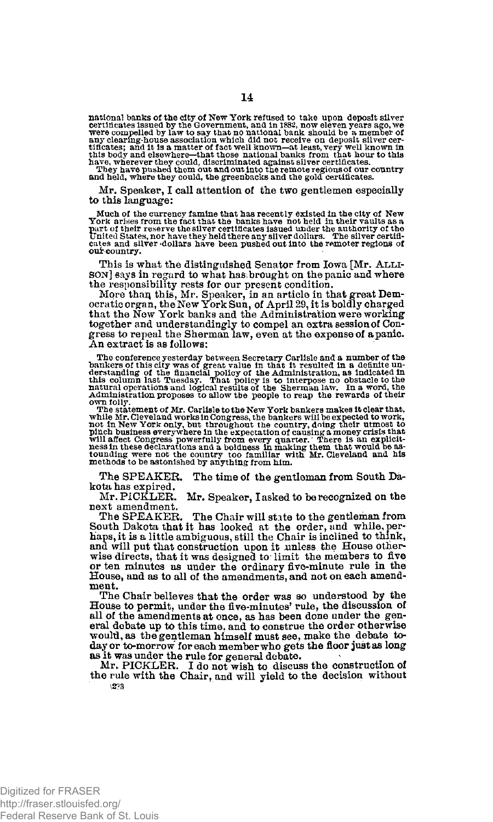national banks of the city of New York refused to take upon deposit silver<br>certificates issued by the Government, and in 1882, now eleven pears ago, we<br>were compelled by law to say that no national bank should be a member

Mr. Speaker, I call attention of the two gentlemen especially to this language:

Much of the currency famine that has recently existed in the city of New<br>York arises from the fact that the banks have not held in their vaults as a<br>part of their reserve the sliver certificates issued under the authority **cates and silver 'dollars have been pushed out into the remoter regions of**  our-country.

This is what the distinguished Senator from Iowa [Mr. ALLI - SON] says in regard to what has brought on the panic and where

the responsibility rests for our present condition.<br>More than this, Mr. Speaker, in an article in that great Dem-<br>ocratic organ, the New York Sun, of April 29, it is boldly charged<br>that the New York banks and the Administr together and understandingly to compel an extra session of Congress to repeal the Sherman law, even at the expense of a panic. An extract is as follows:

The conference yesterday between Secretary Carlisle and a number of the bankers of this city was of great value in that it resulted in a definite understanding of the fluctuation, as indicated in this column last Tuesday.

own folly. The statement of Mr. Carlisle to the New York bankers makes it clear that, while Mr. Cleveland works in Congress, the bankers will be expected to work, mot in New York of the country doing their utmost to plinch

The SPEAKER. The time of the gentleman from South Dakota has expired.<br>Mr. PICKLER.

Mr. Speaker, I asked to be recognized on the next amendment.

The SPEAKER. The Chair will state to the gentleman from South Dakota that it has looked at the order, and while, perhaps, it is a little ambiguous, still the Chair is inclined to think, and will put that construction upon it unless the House otherwise directs, that it was designed to limit the members to five or ten minutes as under the ordinary five-minute rule in the House, and as to all of the amendments, **and** not on each amend-ment.

The Chair believes that the order was so understood by the House to permit, under the five-minutes' rule, the discussion of all of the amendments at once, as has been done under the general debate up to this time, and to construe the order otherwise would, as tbe gentleman himself must see, make the debate today or to-morrow for each member who gets the floor just as long as it was under the rule for general debate.

Mr. PICKLER. I do not wish to discuss the construction of the rule with the Chair, and will yield to the decision without **;2?3**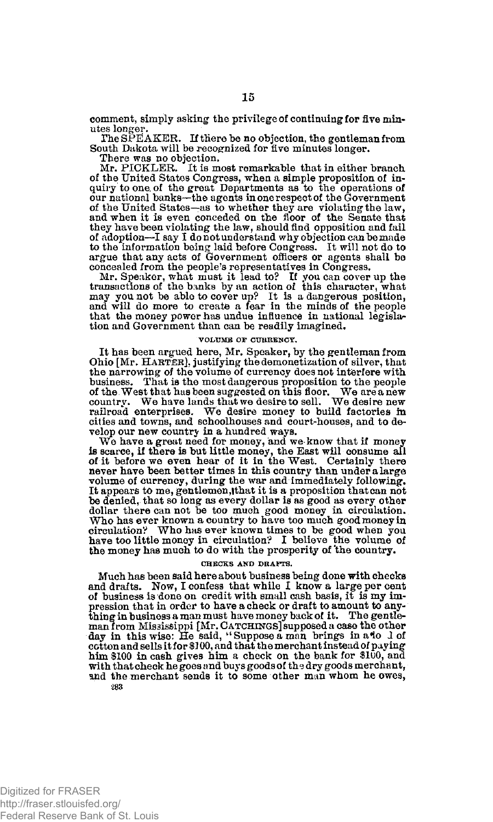comment, simply asking the privilege of continuing for five minutes longer.

The SPEAKER. If there be no objection, the gentleman from South Dakota will be recognized for five minutes longer.

There was no objection. Mr. PICKLER. It is most remarkable that in either branch of the United States Congress, when a simple proposition of inquiry to one. of the great Departments as to the operations of our national banks—the agents in one respect of the Government of the United States—as to whether they are violating the law, and when it is even conceded on the floor of the Senate that they have been violating the law, should find opposition and fail of adoption—I say I do not understand why objection can be made to the information being laid before Congress. It will not do to argue that any acts of Government officers or agents shall be concealed from the people's representatives in Congress.

Mr. Speaker, what must it lead to? If you can cover up the transactions of the banks by an action of this character, what may you not be able to cover up? It is a dangerous position, and will do more to create a fear in the minds of the people that the money power has undue influence in national legislation and Government than can be readily imagined.

#### **VOLUME or CURRENCY.**

It has been argued here, Mr. Speaker, by the gentleman from Ohio [Mr. HARTER], justifying the demonetization of silver, that the narrowing of the volume of currency does not interfere with business. That is the most dangerous proposition to the people of the West that has been suggested on this floor. We are a new country. We have lands that we desire to sell. We desire new railroad enterprises. We desire money to build factories in cities and towns, and schoolhouses and court-houses, and to develop our new country in a hundred ways.

We have a great need for money, and we know that if money is scarce, if there is but little money, the East will consume all of it before we even hear of it in the West. Certainly there never have been better times in this country than under a large volume of currency, during the war and immediately following. It appears to me, gentlemen, that it is a proposition that can not be denied, that so long as every dollar is as good as every other dollar there can not be too much good money in circulation. Who has ever known a country to have too much good money in circulation? Who has ever known times to be good when you have too little money in circulation? I believe the volume of the money has much to do with the prosperity of 'the country.

### **CHECKS AND DRAFTS.**

Much has been said here about business being done with checks and drafts. Now, I confess that while I know a large per cent of business is done on credit with small cash basis, it is my impression that in order to have a check or draft to amount to anything in business a man must have money back of it. The gentleman from Mississippi [Mr. CATCHINGS] supposed a case the other<br>day in this wise: He said, ''Suppose a man brings in a\*io d of<br>cotton and sells it for \$100, and that the merchant instead of paying him \$100 in cash gives him a check on the bank for \$100, and with that check he goes and buys goods of the dry goods merchant, and the merchant sends it to some other man whom he owes, **283**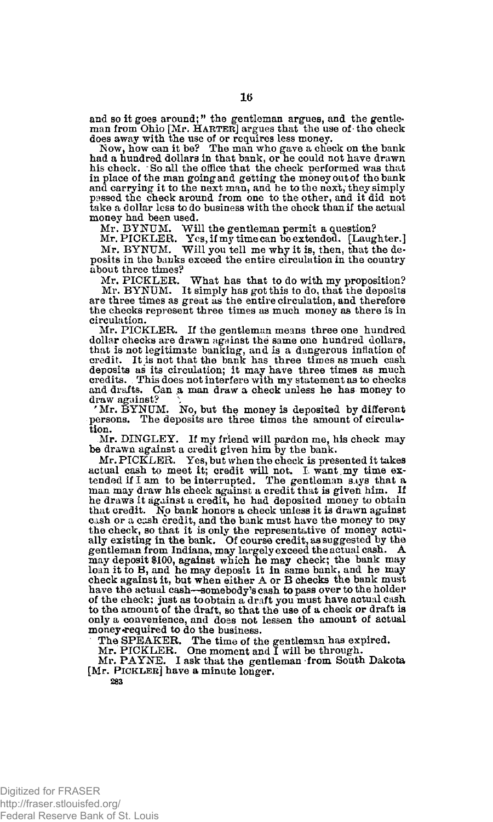and so it goes around;" the gentleman argues, and the gentleman from Ohio [Mr. HARTER] argues that the use of the check

does away with the use of or requires less money. Now, how can it be? The man who gave a check on the bank had a hundred dollars in that bank, or he could not have drawn his check. \* So all the office that the check performed was that in place of the man going and getting the money out of the bank and carrying it to the next man, and he to the next; they simply passed the check around from one to the other, and it did not take a dollar less to do business with the check than if the actual money had been used.

Mr. BY NUM. Will the gentleman permit a question? Mr. PICKLER. Yes, if my time can be extended. [Laughter.] Mr. BYNUM. Will you tell me why it is, then, that the deposits in the banks exceed the entire circulation in the country about three times?

Mr. PICKLER. What has that to do with my proposition? Mr. BYNUM. It simply has got this to do, that the deposits are three times as great as the entire circulation, and therefore the checks represent three times as much money as there is in circulation.

Mr. PICKLER. If the gentleman means three one hundred dollar checks are drawn against the same one hundred dollars, that is not legitimate banking, and is a dangerous inflation of credit. It is not that the bank has three times as much cash deposits as its circulation; it may have three times as much credits. . This does not interfere with my statement as to checks and drafts. Can a man draw a check unless he has money to draw against?  $\qquad$   $\ddot{\qquad}$ 

' Mr. BYNUM. No, but the money is deposited by different persons. The deposits are three times the amount of circulation.

Mr. DINGLEY. If my friend will pardon me, his check may be drawn against a credit given him by the bank.

Mr. PICKLER. Yes, but when the check is presented it takes actual cash to meet it; credit will not. I want my time ex-<br>tended if I am to be interrupted. The gentleman s.ys that a man may draw his check against a credit that is given him. If he draws it against a credit, he had deposited money to obtain that credit. No bank honors a check unless it is drawn against cash or a cash credit, and the bank must have the money to pay the check, so that it is only the representative of money actually existing in the bank. Of course credit, as suggested by the gentleman from Indiana, may largely exceed the actual cash. A may deposit \$100, against which he may check; the bank may loan it to B, and he may deposit it in same bank, and he may check against it, but when either A or B checks the bank must have the actual cash—somebody's cash to pass over to the holder of the check: just as to obtain a draft you must have actual cash to the amount of the draft, so that the use of a check or draft is only a convenience, and does not lessen the amount of actual money required to do the business.

The **SPEAKER.** The **time of** the gentleman has expired. Mr. PICKLER. One moment and I will be through. Mr. PAYNE. I ask that the gentleman from South Dakota [Mr. PICKLER] have a minute longer. **283**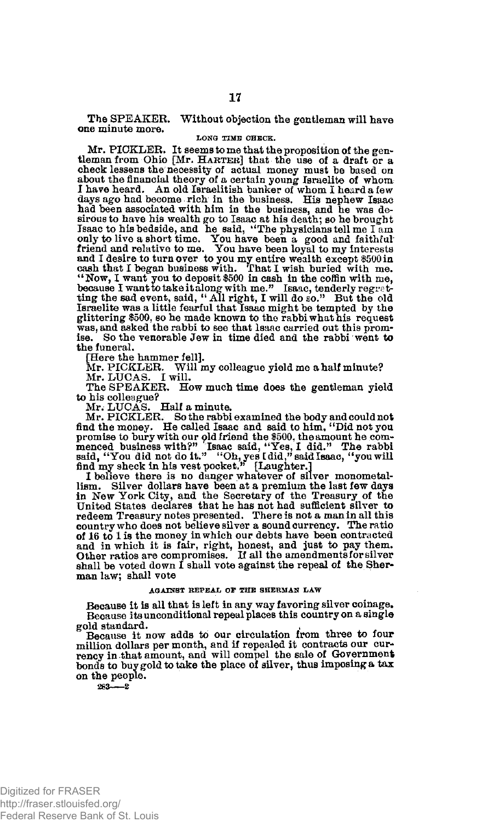The SPEAKER. Without objection the gentleman will have one minute more.

### LONG TIME CHECK.

Mr. PICKLER. It seems to me that the proposition of the gentleman from Ohio [Mr. HARTER] that the use of a draft or a check lessens the necessity of actual money must be based on about the financial theory of a certain young Israelite of whom I have heard. An old Israelitish banker of whom I heard a few displays ago had become rich in the had been associated with him in the business, and he was desirous to have his wealth go to Isaac at his death; so he brought Isaac to his bedside, and he said, "The physicians tell me I am only to live a short time. You have been a good and faithful friend and relative to me. You have been loyal to my interests and I desire to turn over to you my entire wealth except \$500 in cash that I began business with. That I wish buried with me.<br>
"Now, I want you to deposit \$500 in cash in the coffin with me.<br>
because I want to take it alo Israelite was a little fearful that Isaac might be tempted by the glittering \$500, so he made known to the rabbi what his request was, and asked the rabbi to see that Isaac carried out this promise. So the venerable Jew in time died and the rabbi went to the funeral.

[Here the hammer fell].

Mr. PICKLER. Will my colleague yield me a half minute? Mr. LUCAS. I will.

The SPEAKER. How much time does the gentleman yield to his colleague?

Mr. LUCAS. Half a minute. Mr. PICKLER. So the rabbi examined the body and could not find the money. He called Isaac and said to him, "Did not you promise to bury with our old friend the \$500, the amount he com-<br>menced business with?" Isaac said, "Yes, I did." The rabbi<br>said, "You did not do it." "Oh, yes I did," said Isaac, "you will<br>find my sheck in his vest pocke

lism. Silver dollars have been at a premium the last few days<br>in New York City, and the Secretary of the Treasury of the<br>United States declares that he has not had sufficient silver to<br>redeem Treasury notes presented. Ther of 16 to 1 is the money in which our debts have been contracted and in which it is fair, right, honest, and just to pay them. Other ratios are compromises. If all the amendments for silver shall be voted down I shall vote against the repeal of the Sherman law; shall vote

### **AGAINST REPEAL OF THE SHERMAN LAW**

Because it is all that is left in any way favoring silver coinage. Because its unconditional repeal places this country on a single gold standard.

Because it now adds to our circulation from three to four million dollars per month, and if repealed it contracts our cur-rency in that amount, and will compel the sale of Government bonds to buy gold to take the place of silver, thus imposing a tax on the people.

283—2